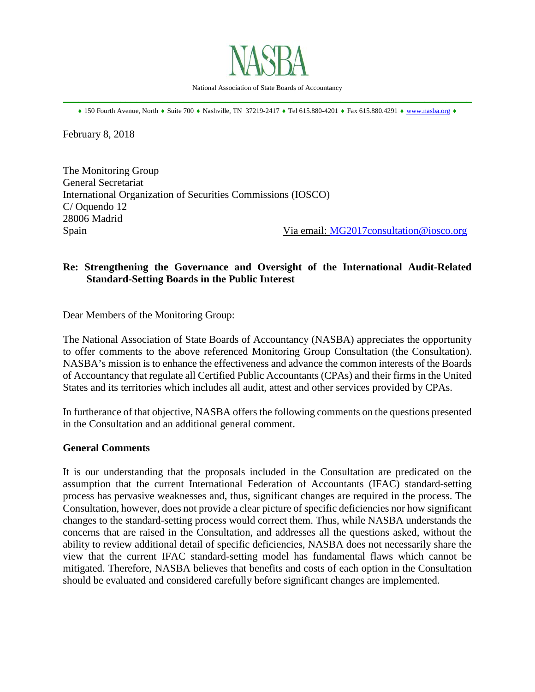

National Association of State Boards of Accountancy \_\_\_\_\_\_\_\_\_\_\_\_\_\_\_\_\_\_\_\_\_\_\_\_\_\_\_\_\_\_\_\_\_\_\_\_\_\_\_\_\_\_\_\_\_\_\_\_\_\_\_\_\_\_\_\_\_\_\_\_\_\_\_\_\_\_\_\_\_\_\_\_\_\_\_\_\_\_

♦ 150 Fourth Avenue, North ♦ Suite 700 ♦ Nashville, TN 37219-2417 ♦ Tel 615.880-4201 ♦ Fax 615.880.4291 ♦ [www.nasba.org](http://www.nasba.org/) ♦

February 8, 2018

The Monitoring Group General Secretariat International Organization of Securities Commissions (IOSCO) C/ Oquendo 12 28006 Madrid Spain Spain Spain Via email: [MG2017consultation@iosco.org](mailto:MG2017consultation@iosco.org)

# **Re: Strengthening the Governance and Oversight of the International Audit-Related Standard-Setting Boards in the Public Interest**

Dear Members of the Monitoring Group:

The National Association of State Boards of Accountancy (NASBA) appreciates the opportunity to offer comments to the above referenced Monitoring Group Consultation (the Consultation). NASBA's mission is to enhance the effectiveness and advance the common interests of the Boards of Accountancy that regulate all Certified Public Accountants (CPAs) and their firms in the United States and its territories which includes all audit, attest and other services provided by CPAs.

In furtherance of that objective, NASBA offers the following comments on the questions presented in the Consultation and an additional general comment.

### **General Comments**

It is our understanding that the proposals included in the Consultation are predicated on the assumption that the current International Federation of Accountants (IFAC) standard-setting process has pervasive weaknesses and, thus, significant changes are required in the process. The Consultation, however, does not provide a clear picture of specific deficiencies nor how significant changes to the standard-setting process would correct them. Thus, while NASBA understands the concerns that are raised in the Consultation, and addresses all the questions asked, without the ability to review additional detail of specific deficiencies, NASBA does not necessarily share the view that the current IFAC standard-setting model has fundamental flaws which cannot be mitigated. Therefore, NASBA believes that benefits and costs of each option in the Consultation should be evaluated and considered carefully before significant changes are implemented.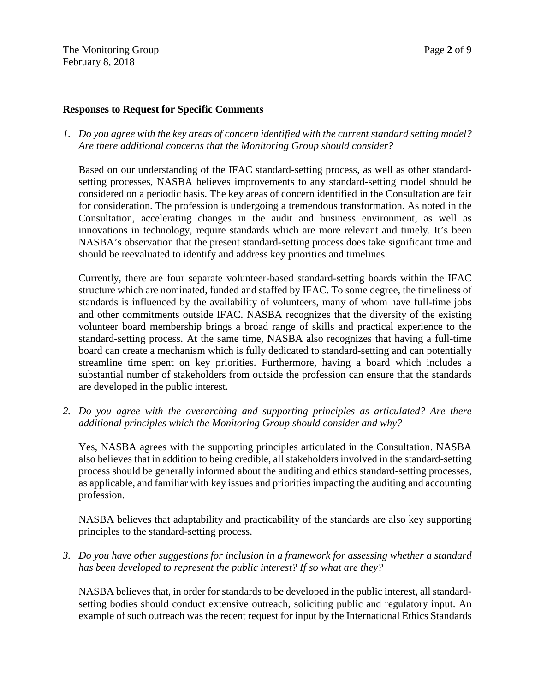The Monitoring Group **Page 2** of **9** February 8, 2018

#### **Responses to Request for Specific Comments**

*1. Do you agree with the key areas of concern identified with the current standard setting model? Are there additional concerns that the Monitoring Group should consider?*

Based on our understanding of the IFAC standard-setting process, as well as other standardsetting processes, NASBA believes improvements to any standard-setting model should be considered on a periodic basis. The key areas of concern identified in the Consultation are fair for consideration. The profession is undergoing a tremendous transformation. As noted in the Consultation, accelerating changes in the audit and business environment, as well as innovations in technology, require standards which are more relevant and timely. It's been NASBA's observation that the present standard-setting process does take significant time and should be reevaluated to identify and address key priorities and timelines.

Currently, there are four separate volunteer-based standard-setting boards within the IFAC structure which are nominated, funded and staffed by IFAC. To some degree, the timeliness of standards is influenced by the availability of volunteers, many of whom have full-time jobs and other commitments outside IFAC. NASBA recognizes that the diversity of the existing volunteer board membership brings a broad range of skills and practical experience to the standard-setting process. At the same time, NASBA also recognizes that having a full-time board can create a mechanism which is fully dedicated to standard-setting and can potentially streamline time spent on key priorities. Furthermore, having a board which includes a substantial number of stakeholders from outside the profession can ensure that the standards are developed in the public interest.

*2. Do you agree with the overarching and supporting principles as articulated? Are there additional principles which the Monitoring Group should consider and why?*

Yes, NASBA agrees with the supporting principles articulated in the Consultation. NASBA also believes that in addition to being credible, all stakeholders involved in the standard-setting process should be generally informed about the auditing and ethics standard-setting processes, as applicable, and familiar with key issues and priorities impacting the auditing and accounting profession.

NASBA believes that adaptability and practicability of the standards are also key supporting principles to the standard-setting process.

*3. Do you have other suggestions for inclusion in a framework for assessing whether a standard has been developed to represent the public interest? If so what are they?*

NASBA believes that, in order for standards to be developed in the public interest, all standardsetting bodies should conduct extensive outreach, soliciting public and regulatory input. An example of such outreach was the recent request for input by the International Ethics Standards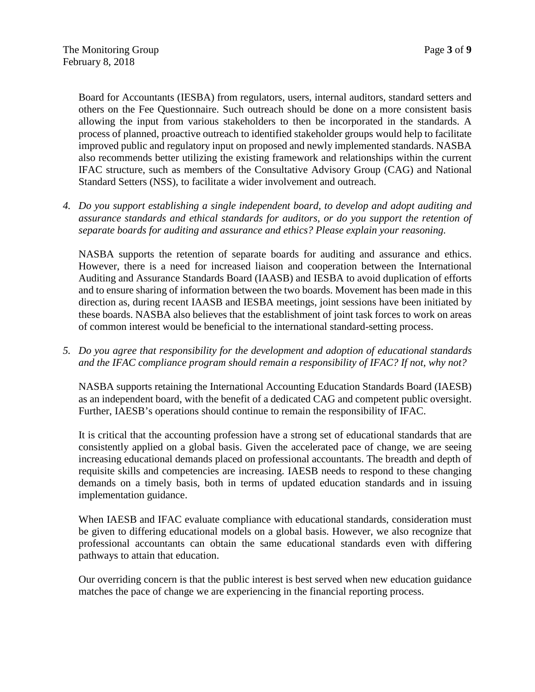Board for Accountants (IESBA) from regulators, users, internal auditors, standard setters and others on the Fee Questionnaire. Such outreach should be done on a more consistent basis allowing the input from various stakeholders to then be incorporated in the standards. A process of planned, proactive outreach to identified stakeholder groups would help to facilitate improved public and regulatory input on proposed and newly implemented standards. NASBA also recommends better utilizing the existing framework and relationships within the current IFAC structure, such as members of the Consultative Advisory Group (CAG) and National Standard Setters (NSS), to facilitate a wider involvement and outreach.

*4. Do you support establishing a single independent board, to develop and adopt auditing and assurance standards and ethical standards for auditors, or do you support the retention of separate boards for auditing and assurance and ethics? Please explain your reasoning.*

NASBA supports the retention of separate boards for auditing and assurance and ethics. However, there is a need for increased liaison and cooperation between the International Auditing and Assurance Standards Board (IAASB) and IESBA to avoid duplication of efforts and to ensure sharing of information between the two boards. Movement has been made in this direction as, during recent IAASB and IESBA meetings, joint sessions have been initiated by these boards. NASBA also believes that the establishment of joint task forces to work on areas of common interest would be beneficial to the international standard-setting process.

*5. Do you agree that responsibility for the development and adoption of educational standards and the IFAC compliance program should remain a responsibility of IFAC? If not, why not?*

NASBA supports retaining the International Accounting Education Standards Board (IAESB) as an independent board, with the benefit of a dedicated CAG and competent public oversight. Further, IAESB's operations should continue to remain the responsibility of IFAC.

It is critical that the accounting profession have a strong set of educational standards that are consistently applied on a global basis. Given the accelerated pace of change, we are seeing increasing educational demands placed on professional accountants. The breadth and depth of requisite skills and competencies are increasing. IAESB needs to respond to these changing demands on a timely basis, both in terms of updated education standards and in issuing implementation guidance.

When IAESB and IFAC evaluate compliance with educational standards, consideration must be given to differing educational models on a global basis. However, we also recognize that professional accountants can obtain the same educational standards even with differing pathways to attain that education.

Our overriding concern is that the public interest is best served when new education guidance matches the pace of change we are experiencing in the financial reporting process.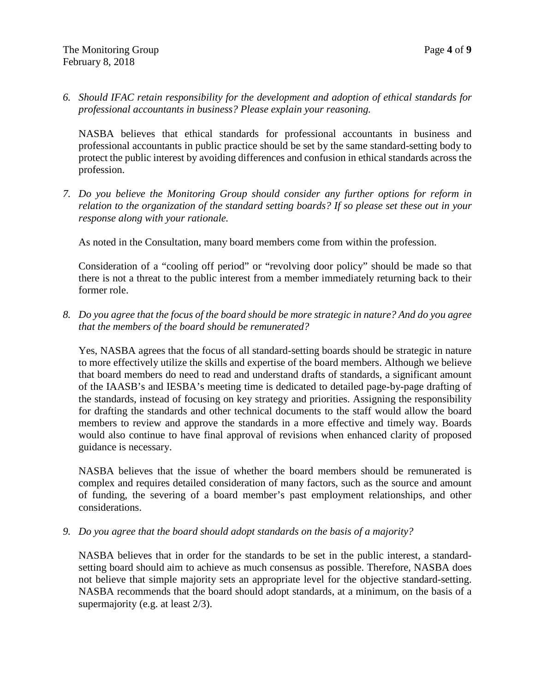*6. Should IFAC retain responsibility for the development and adoption of ethical standards for professional accountants in business? Please explain your reasoning.*

NASBA believes that ethical standards for professional accountants in business and professional accountants in public practice should be set by the same standard-setting body to protect the public interest by avoiding differences and confusion in ethical standards across the profession.

*7. Do you believe the Monitoring Group should consider any further options for reform in relation to the organization of the standard setting boards? If so please set these out in your response along with your rationale.*

As noted in the Consultation, many board members come from within the profession.

Consideration of a "cooling off period" or "revolving door policy" should be made so that there is not a threat to the public interest from a member immediately returning back to their former role.

*8. Do you agree that the focus of the board should be more strategic in nature? And do you agree that the members of the board should be remunerated?*

Yes, NASBA agrees that the focus of all standard-setting boards should be strategic in nature to more effectively utilize the skills and expertise of the board members. Although we believe that board members do need to read and understand drafts of standards, a significant amount of the IAASB's and IESBA's meeting time is dedicated to detailed page-by-page drafting of the standards, instead of focusing on key strategy and priorities. Assigning the responsibility for drafting the standards and other technical documents to the staff would allow the board members to review and approve the standards in a more effective and timely way. Boards would also continue to have final approval of revisions when enhanced clarity of proposed guidance is necessary.

NASBA believes that the issue of whether the board members should be remunerated is complex and requires detailed consideration of many factors, such as the source and amount of funding, the severing of a board member's past employment relationships, and other considerations.

*9. Do you agree that the board should adopt standards on the basis of a majority?*

NASBA believes that in order for the standards to be set in the public interest, a standardsetting board should aim to achieve as much consensus as possible. Therefore, NASBA does not believe that simple majority sets an appropriate level for the objective standard-setting. NASBA recommends that the board should adopt standards, at a minimum, on the basis of a supermajority (e.g. at least 2/3).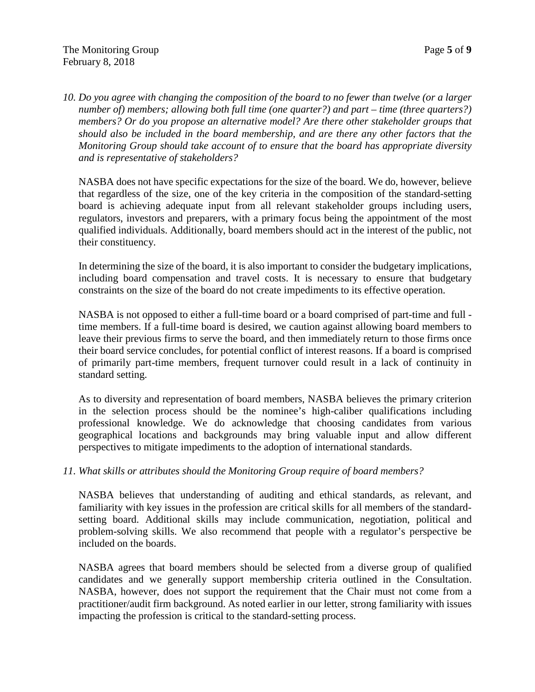*10. Do you agree with changing the composition of the board to no fewer than twelve (or a larger number of) members; allowing both full time (one quarter?) and part – time (three quarters?) members? Or do you propose an alternative model? Are there other stakeholder groups that should also be included in the board membership, and are there any other factors that the Monitoring Group should take account of to ensure that the board has appropriate diversity and is representative of stakeholders?*

NASBA does not have specific expectations for the size of the board. We do, however, believe that regardless of the size, one of the key criteria in the composition of the standard-setting board is achieving adequate input from all relevant stakeholder groups including users, regulators, investors and preparers, with a primary focus being the appointment of the most qualified individuals. Additionally, board members should act in the interest of the public, not their constituency.

In determining the size of the board, it is also important to consider the budgetary implications, including board compensation and travel costs. It is necessary to ensure that budgetary constraints on the size of the board do not create impediments to its effective operation.

NASBA is not opposed to either a full-time board or a board comprised of part-time and full time members. If a full-time board is desired, we caution against allowing board members to leave their previous firms to serve the board, and then immediately return to those firms once their board service concludes, for potential conflict of interest reasons. If a board is comprised of primarily part-time members, frequent turnover could result in a lack of continuity in standard setting.

As to diversity and representation of board members, NASBA believes the primary criterion in the selection process should be the nominee's high-caliber qualifications including professional knowledge. We do acknowledge that choosing candidates from various geographical locations and backgrounds may bring valuable input and allow different perspectives to mitigate impediments to the adoption of international standards.

# *11. What skills or attributes should the Monitoring Group require of board members?*

NASBA believes that understanding of auditing and ethical standards, as relevant, and familiarity with key issues in the profession are critical skills for all members of the standardsetting board. Additional skills may include communication, negotiation, political and problem-solving skills. We also recommend that people with a regulator's perspective be included on the boards.

NASBA agrees that board members should be selected from a diverse group of qualified candidates and we generally support membership criteria outlined in the Consultation. NASBA, however, does not support the requirement that the Chair must not come from a practitioner/audit firm background. As noted earlier in our letter, strong familiarity with issues impacting the profession is critical to the standard-setting process.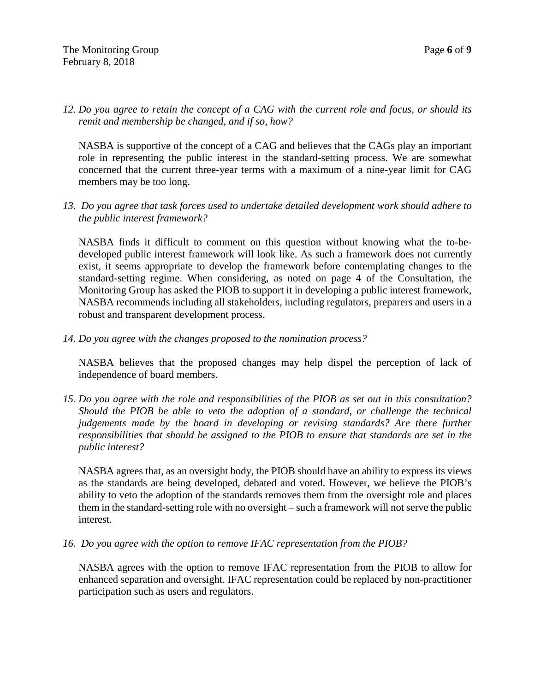*12. Do you agree to retain the concept of a CAG with the current role and focus, or should its remit and membership be changed, and if so, how?*

NASBA is supportive of the concept of a CAG and believes that the CAGs play an important role in representing the public interest in the standard-setting process. We are somewhat concerned that the current three-year terms with a maximum of a nine-year limit for CAG members may be too long.

*13. Do you agree that task forces used to undertake detailed development work should adhere to the public interest framework?*

NASBA finds it difficult to comment on this question without knowing what the to-bedeveloped public interest framework will look like. As such a framework does not currently exist, it seems appropriate to develop the framework before contemplating changes to the standard-setting regime. When considering, as noted on page 4 of the Consultation, the Monitoring Group has asked the PIOB to support it in developing a public interest framework, NASBA recommends including all stakeholders, including regulators, preparers and users in a robust and transparent development process.

*14. Do you agree with the changes proposed to the nomination process?*

NASBA believes that the proposed changes may help dispel the perception of lack of independence of board members.

*15. Do you agree with the role and responsibilities of the PIOB as set out in this consultation? Should the PIOB be able to veto the adoption of a standard, or challenge the technical judgements made by the board in developing or revising standards? Are there further responsibilities that should be assigned to the PIOB to ensure that standards are set in the public interest?*

NASBA agrees that, as an oversight body, the PIOB should have an ability to express its views as the standards are being developed, debated and voted. However, we believe the PIOB's ability to veto the adoption of the standards removes them from the oversight role and places them in the standard-setting role with no oversight – such a framework will not serve the public interest.

*16. Do you agree with the option to remove IFAC representation from the PIOB?*

NASBA agrees with the option to remove IFAC representation from the PIOB to allow for enhanced separation and oversight. IFAC representation could be replaced by non-practitioner participation such as users and regulators.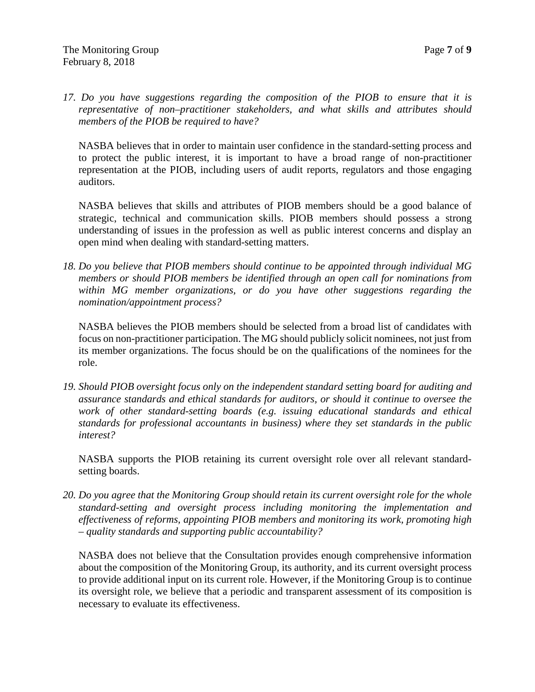*17. Do you have suggestions regarding the composition of the PIOB to ensure that it is representative of non–practitioner stakeholders, and what skills and attributes should members of the PIOB be required to have?*

NASBA believes that in order to maintain user confidence in the standard-setting process and to protect the public interest, it is important to have a broad range of non-practitioner representation at the PIOB, including users of audit reports, regulators and those engaging auditors.

NASBA believes that skills and attributes of PIOB members should be a good balance of strategic, technical and communication skills. PIOB members should possess a strong understanding of issues in the profession as well as public interest concerns and display an open mind when dealing with standard-setting matters.

*18. Do you believe that PIOB members should continue to be appointed through individual MG members or should PIOB members be identified through an open call for nominations from within MG member organizations, or do you have other suggestions regarding the nomination/appointment process?*

NASBA believes the PIOB members should be selected from a broad list of candidates with focus on non-practitioner participation. The MG should publicly solicit nominees, not just from its member organizations. The focus should be on the qualifications of the nominees for the role.

*19. Should PIOB oversight focus only on the independent standard setting board for auditing and assurance standards and ethical standards for auditors, or should it continue to oversee the work of other standard-setting boards (e.g. issuing educational standards and ethical standards for professional accountants in business) where they set standards in the public interest?*

NASBA supports the PIOB retaining its current oversight role over all relevant standardsetting boards.

*20. Do you agree that the Monitoring Group should retain its current oversight role for the whole standard-setting and oversight process including monitoring the implementation and effectiveness of reforms, appointing PIOB members and monitoring its work, promoting high – quality standards and supporting public accountability?*

NASBA does not believe that the Consultation provides enough comprehensive information about the composition of the Monitoring Group, its authority, and its current oversight process to provide additional input on its current role. However, if the Monitoring Group is to continue its oversight role, we believe that a periodic and transparent assessment of its composition is necessary to evaluate its effectiveness.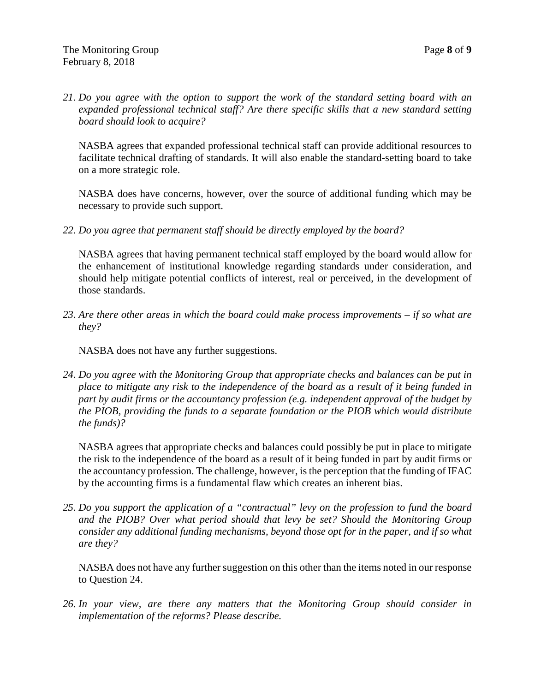*21. Do you agree with the option to support the work of the standard setting board with an expanded professional technical staff? Are there specific skills that a new standard setting board should look to acquire?*

NASBA agrees that expanded professional technical staff can provide additional resources to facilitate technical drafting of standards. It will also enable the standard-setting board to take on a more strategic role.

NASBA does have concerns, however, over the source of additional funding which may be necessary to provide such support.

*22. Do you agree that permanent staff should be directly employed by the board?*

NASBA agrees that having permanent technical staff employed by the board would allow for the enhancement of institutional knowledge regarding standards under consideration, and should help mitigate potential conflicts of interest, real or perceived, in the development of those standards.

*23. Are there other areas in which the board could make process improvements – if so what are they?*

NASBA does not have any further suggestions.

*24. Do you agree with the Monitoring Group that appropriate checks and balances can be put in place to mitigate any risk to the independence of the board as a result of it being funded in part by audit firms or the accountancy profession (e.g. independent approval of the budget by the PIOB, providing the funds to a separate foundation or the PIOB which would distribute the funds)?*

NASBA agrees that appropriate checks and balances could possibly be put in place to mitigate the risk to the independence of the board as a result of it being funded in part by audit firms or the accountancy profession. The challenge, however, is the perception that the funding of IFAC by the accounting firms is a fundamental flaw which creates an inherent bias.

*25. Do you support the application of a "contractual" levy on the profession to fund the board and the PIOB? Over what period should that levy be set? Should the Monitoring Group consider any additional funding mechanisms, beyond those opt for in the paper, and if so what are they?*

NASBA does not have any further suggestion on this other than the items noted in our response to Question 24.

*26. In your view, are there any matters that the Monitoring Group should consider in implementation of the reforms? Please describe.*